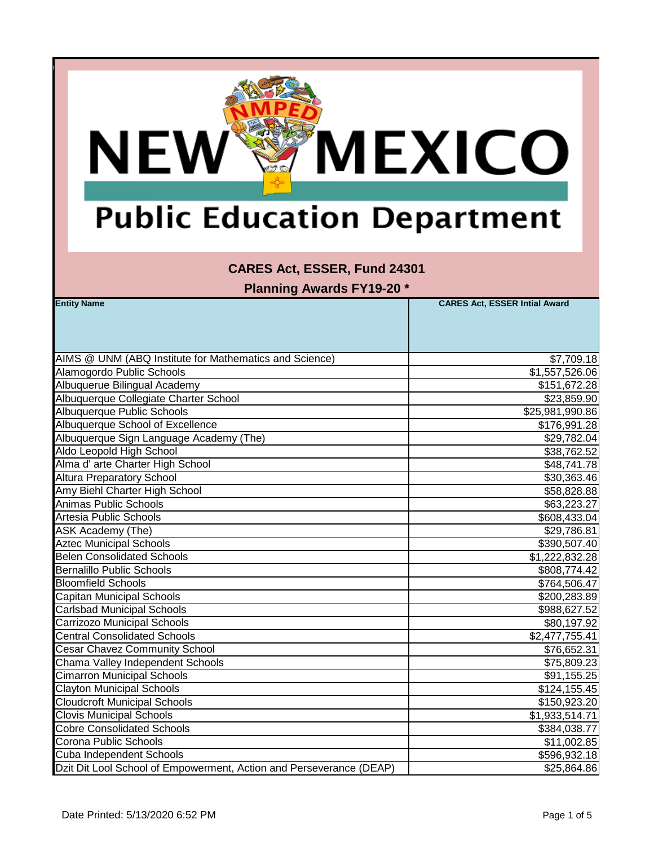

#### **CARES Act, ESSER, Fund 24301**

| <b>Entity Name</b>                                                  | <b>CARES Act, ESSER Intial Award</b> |
|---------------------------------------------------------------------|--------------------------------------|
|                                                                     |                                      |
|                                                                     |                                      |
|                                                                     |                                      |
| AIMS @ UNM (ABQ Institute for Mathematics and Science)              | \$7,709.18                           |
| Alamogordo Public Schools                                           | $\overline{1,557,526.06}$            |
| Albuquerue Bilingual Academy                                        | \$151,672.28                         |
| Albuquerque Collegiate Charter School                               | \$23,859.90                          |
| Albuquerque Public Schools                                          | \$25,981,990.86                      |
| Albuquerque School of Excellence                                    | \$176,991.28                         |
| Albuquerque Sign Language Academy (The)                             | \$29,782.04                          |
| Aldo Leopold High School                                            | \$38,762.52                          |
| Alma d' arte Charter High School                                    | \$48,741.78                          |
| <b>Altura Preparatory School</b>                                    | \$30,363.46                          |
| Amy Biehl Charter High School                                       | \$58,828.88                          |
| Animas Public Schools                                               | \$63,223.27                          |
| Artesia Public Schools                                              | \$608,433.04                         |
| <b>ASK Academy (The)</b>                                            | \$29,786.81                          |
| <b>Aztec Municipal Schools</b>                                      | \$390,507.40                         |
| <b>Belen Consolidated Schools</b>                                   | \$1,222,832.28                       |
| <b>Bernalillo Public Schools</b>                                    | \$808,774.42                         |
| <b>Bloomfield Schools</b>                                           | \$764,506.47                         |
| <b>Capitan Municipal Schools</b>                                    | \$200,283.89                         |
| <b>Carlsbad Municipal Schools</b>                                   | \$988,627.52                         |
| Carrizozo Municipal Schools                                         | \$80,197.92                          |
| <b>Central Consolidated Schools</b>                                 | \$2,477,755.41                       |
| <b>Cesar Chavez Community School</b>                                | \$76,652.31                          |
| Chama Valley Independent Schools                                    | \$75,809.23                          |
| <b>Cimarron Municipal Schools</b>                                   | \$91,155.25                          |
| <b>Clayton Municipal Schools</b>                                    | \$124, 155.45                        |
| <b>Cloudcroft Municipal Schools</b>                                 | \$150,923.20                         |
| <b>Clovis Municipal Schools</b>                                     | \$1,933,514.71                       |
| <b>Cobre Consolidated Schools</b>                                   | \$384,038.77                         |
| Corona Public Schools                                               | \$11,002.85                          |
| Cuba Independent Schools                                            | \$596,932.18                         |
| Dzit Dit Lool School of Empowerment, Action and Perseverance (DEAP) | \$25,864.86                          |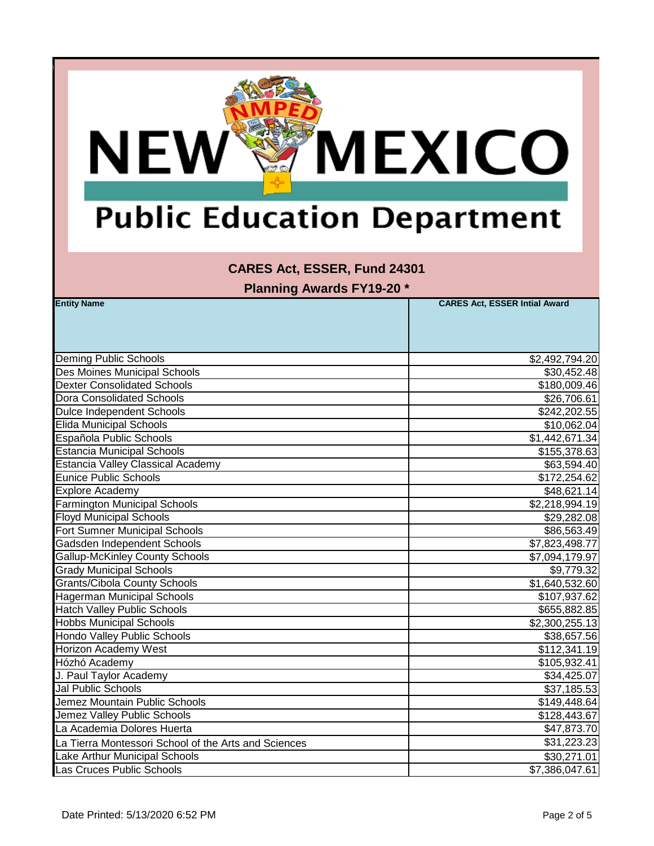

#### **CARES Act, ESSER, Fund 24301**

| <b>Entity Name</b>                                   | <b>CARES Act, ESSER Intial Award</b> |
|------------------------------------------------------|--------------------------------------|
|                                                      |                                      |
|                                                      |                                      |
|                                                      |                                      |
| <b>Deming Public Schools</b>                         | \$2,492,794.20                       |
| <b>Des Moines Municipal Schools</b>                  | \$30,452.48                          |
| <b>Dexter Consolidated Schools</b>                   | \$180,009.46                         |
| <b>Dora Consolidated Schools</b>                     | \$26,706.61                          |
| <b>Dulce Independent Schools</b>                     | \$242,202.55                         |
| <b>Elida Municipal Schools</b>                       | \$10,062.04                          |
| Española Public Schools                              | \$1,442,671.34                       |
| <b>Estancia Municipal Schools</b>                    | \$155,378.63                         |
| <b>Estancia Valley Classical Academy</b>             | \$63,594.40                          |
| <b>Eunice Public Schools</b>                         | \$172,254.62                         |
| <b>Explore Academy</b>                               | \$48,621.14                          |
| <b>Farmington Municipal Schools</b>                  | \$2,218,994.19                       |
| <b>Floyd Municipal Schools</b>                       | \$29,282.08                          |
| Fort Sumner Municipal Schools                        | \$86,563.49                          |
| Gadsden Independent Schools                          | \$7,823,498.77                       |
| <b>Gallup-McKinley County Schools</b>                | \$7,094,179.97                       |
| <b>Grady Municipal Schools</b>                       | \$9,779.32                           |
| <b>Grants/Cibola County Schools</b>                  | \$1,640,532.60                       |
| <b>Hagerman Municipal Schools</b>                    | \$107,937.62                         |
| <b>Hatch Valley Public Schools</b>                   | \$655,882.85                         |
| <b>Hobbs Municipal Schools</b>                       | \$2,300,255.13                       |
| Hondo Valley Public Schools                          | \$38,657.56                          |
| Horizon Academy West                                 | \$112,341.19                         |
| Hózhó Academy                                        | \$105,932.41                         |
| J. Paul Taylor Academy                               | \$34,425.07                          |
| <b>Jal Public Schools</b>                            | \$37,185.53                          |
| Jemez Mountain Public Schools                        | \$149,448.64                         |
| Jemez Valley Public Schools                          | \$128,443.67                         |
| La Academia Dolores Huerta                           | \$47,873.70                          |
| La Tierra Montessori School of the Arts and Sciences | \$31,223.23                          |
| Lake Arthur Municipal Schools                        | \$30,271.01                          |
| Las Cruces Public Schools                            | \$7,386,047.61                       |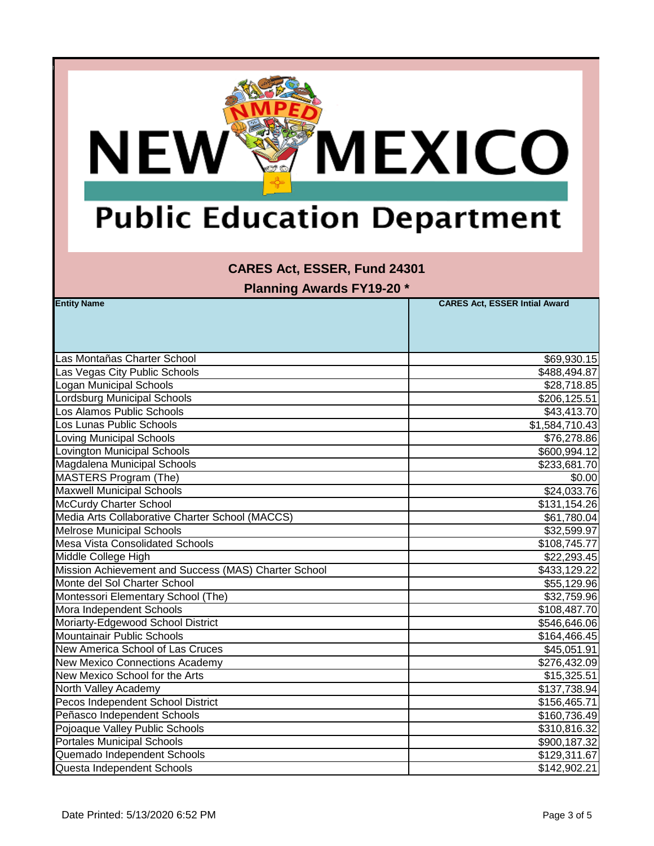

#### **CARES Act, ESSER, Fund 24301**

| <b>Entity Name</b>                                   | <b>CARES Act, ESSER Intial Award</b> |
|------------------------------------------------------|--------------------------------------|
|                                                      |                                      |
|                                                      |                                      |
|                                                      |                                      |
| Las Montañas Charter School                          | \$69,930.15                          |
| Las Vegas City Public Schools                        | \$488,494.87                         |
| <b>Logan Municipal Schools</b>                       | \$28,718.85                          |
| Lordsburg Municipal Schools                          | \$206,125.51                         |
| Los Alamos Public Schools                            | \$43,413.70                          |
| Los Lunas Public Schools                             | \$1,584,710.43                       |
| <b>Loving Municipal Schools</b>                      | \$76,278.86                          |
| <b>Lovington Municipal Schools</b>                   | \$600,994.12                         |
| Magdalena Municipal Schools                          | \$233,681.70                         |
| MASTERS Program (The)                                | \$0.00                               |
| <b>Maxwell Municipal Schools</b>                     | \$24,033.76                          |
| <b>McCurdy Charter School</b>                        | \$131,154.26                         |
| Media Arts Collaborative Charter School (MACCS)      | \$61,780.04                          |
| <b>Melrose Municipal Schools</b>                     | \$32,599.97                          |
| <b>Mesa Vista Consolidated Schools</b>               | \$108,745.77                         |
| Middle College High                                  | \$22,293.45                          |
| Mission Achievement and Success (MAS) Charter School | \$433,129.22                         |
| Monte del Sol Charter School                         | \$55,129.96                          |
| Montessori Elementary School (The)                   | \$32,759.96                          |
| Mora Independent Schools                             | \$108,487.70                         |
| Moriarty-Edgewood School District                    | \$546,646.06                         |
| <b>Mountainair Public Schools</b>                    | \$164,466.45                         |
| New America School of Las Cruces                     | \$45,051.91                          |
| <b>New Mexico Connections Academy</b>                | \$276,432.09                         |
| New Mexico School for the Arts                       | \$15,325.51                          |
| North Valley Academy                                 | \$137,738.94                         |
| Pecos Independent School District                    | \$156,465.71                         |
| Peñasco Independent Schools                          | \$160,736.49                         |
| Pojoaque Valley Public Schools                       | \$310,816.32                         |
| <b>Portales Municipal Schools</b>                    | \$900,187.32                         |
| Quemado Independent Schools                          | \$129,311.67                         |
| Questa Independent Schools                           | \$142,902.21                         |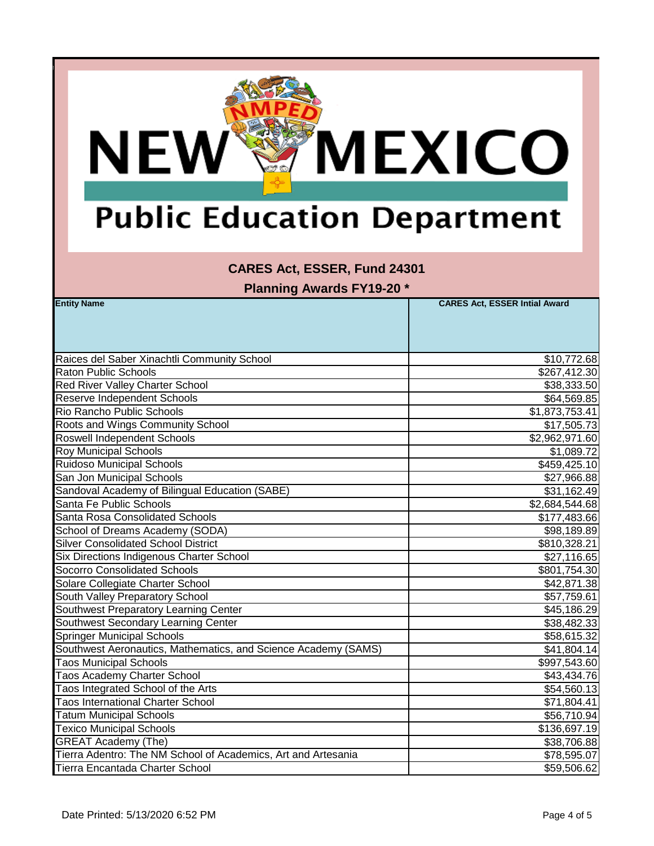

#### **CARES Act, ESSER, Fund 24301**

| <b>Entity Name</b>                                             | <b>CARES Act, ESSER Intial Award</b> |
|----------------------------------------------------------------|--------------------------------------|
|                                                                |                                      |
|                                                                |                                      |
|                                                                |                                      |
| Raices del Saber Xinachtli Community School                    | \$10,772.68                          |
| <b>Raton Public Schools</b>                                    | \$267,412.30                         |
| Red River Valley Charter School                                | \$38,333.50                          |
| Reserve Independent Schools                                    | \$64,569.85                          |
| Rio Rancho Public Schools                                      | \$1,873,753.41                       |
| Roots and Wings Community School                               | \$17,505.73                          |
| <b>Roswell Independent Schools</b>                             | \$2,962,971.60                       |
| <b>Roy Municipal Schools</b>                                   | \$1,089.72                           |
| Ruidoso Municipal Schools                                      | \$459,425.10                         |
| San Jon Municipal Schools                                      | \$27,966.88                          |
| Sandoval Academy of Bilingual Education (SABE)                 | \$31,162.49                          |
| Santa Fe Public Schools                                        | \$2,684,544.68                       |
| Santa Rosa Consolidated Schools                                | \$177,483.66                         |
| School of Dreams Academy (SODA)                                | \$98,189.89                          |
| <b>Silver Consolidated School District</b>                     | \$810,328.21                         |
| Six Directions Indigenous Charter School                       | \$27,116.65                          |
| <b>Socorro Consolidated Schools</b>                            | \$801,754.30                         |
| Solare Collegiate Charter School                               | \$42,871.38                          |
| South Valley Preparatory School                                | \$57,759.61                          |
| Southwest Preparatory Learning Center                          | \$45,186.29                          |
| Southwest Secondary Learning Center                            | \$38,482.33                          |
| <b>Springer Municipal Schools</b>                              | \$58,615.32                          |
| Southwest Aeronautics, Mathematics, and Science Academy (SAMS) | \$41,804.14                          |
| <b>Taos Municipal Schools</b>                                  | \$997,543.60                         |
| Taos Academy Charter School                                    | \$43,434.76                          |
| Taos Integrated School of the Arts                             | \$54,560.13                          |
| <b>Taos International Charter School</b>                       | \$71,804.41                          |
| <b>Tatum Municipal Schools</b>                                 | \$56,710.94                          |
| <b>Texico Municipal Schools</b>                                | \$136,697.19                         |
| <b>GREAT Academy (The)</b>                                     | \$38,706.88                          |
| Tierra Adentro: The NM School of Academics, Art and Artesania  | \$78,595.07                          |
| Tierra Encantada Charter School                                | \$59,506.62                          |